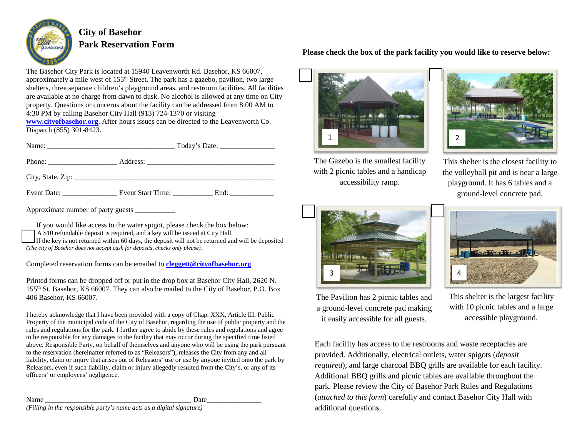

# **City of Basehor Park Reservation Form**

The Basehor City Park is located at 15940 Leavenworth Rd. Basehor, KS 66007, approximately a mile west of 155<sup>th</sup> Street. The park has a gazebo, pavilion, two large shelters, three separate children's playground areas, and restroom facilities. All facilities are available at no charge from dawn to dusk. No alcohol is allowed at any time on City property. Questions or concerns about the facility can be addressed from 8:00 AM to 4:30 PM by calling Basehor City Hall (913) 724-1370 or visiting

**[www.cityofbasehor.org](http://www.cityofbasehor.org/)**. After hours issues can be directed to the Leavenworth Co. Dispatch (855) 301-8423.

| Approximate number of party guests |  |  |
|------------------------------------|--|--|

If you would like access to the water spigot, please check the box below:

A \$10 refundable deposit is required, and a key will be issued at City Hall.

If the key is not returned within 60 days, the deposit will not be returned and will be deposited

*(The city of Basehor does not accept cash for deposits, checks only please).*

Completed reservation forms can be emailed to **[cleggett@cityofbasehor.org](mailto:cleggett@cityofbasehor.org)**.

Printed forms can be dropped off or put in the drop box at Basehor City Hall, 2620 N. 155th St. Basehor, KS 66007. They can also be mailed to the City of Basehor, P.O. Box 406 Basehor, KS 66007.

I hereby acknowledge that I have been provided with a copy of Chap. XXX, Article III, Public Property of the municipal code of the City of Basehor, regarding the use of public property and the rules and regulations for the park. I further agree to abide by these rules and regulations and agree to be responsible for any damages to the facility that may occur during the specified time listed above. Responsible Party, on behalf of themselves and anyone who will be using the park pursuant to the reservation (hereinafter referred to as "Releasors"), releases the City from any and all liability, claim or injury that arises out of Releasors' use or use by anyone invited onto the park by Releasors, even if such liability, claim or injury allegedly resulted from the City's, or any of its officers' or employees' negligence.

Name \_\_\_\_\_\_\_\_\_\_\_\_\_\_\_\_\_\_\_\_\_\_\_\_\_\_\_\_\_\_\_\_\_\_\_\_\_\_\_\_ Date\_\_\_\_\_\_\_\_\_\_\_\_\_\_\_ *(Filling in the responsible party's name acts as a digital signature)*

# **Please check the box of the park facility you would like to reserve below:**





The Gazebo is the smallest facility with 2 picnic tables and a handicap accessibility ramp.

This shelter is the closest facility to the volleyball pit and is near a large playground. It has 6 tables and a ground-level concrete pad.





The Pavilion has 2 picnic tables and a ground-level concrete pad making it easily accessible for all guests.

This shelter is the largest facility with 10 picnic tables and a large accessible playground.

Each facility has access to the restrooms and waste receptacles are provided. Additionally, electrical outlets, water spigots (*deposit required*), and large charcoal BBQ grills are available for each facility. Additional BBQ grills and picnic tables are available throughout the park. Please review the City of Basehor Park Rules and Regulations (*attached to this form*) carefully and contact Basehor City Hall with additional questions.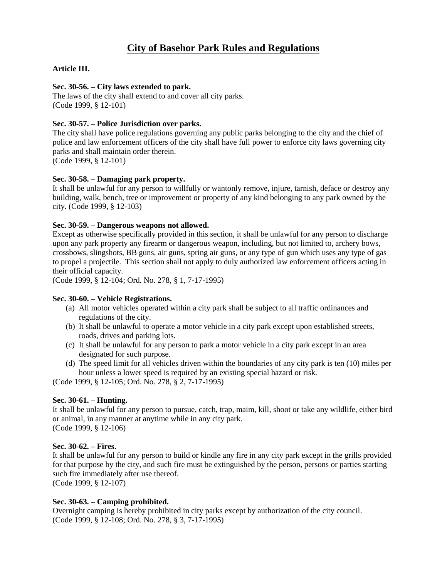# **City of Basehor Park Rules and Regulations**

## **Article III.**

#### **Sec. 30-56. – City laws extended to park.**

The laws of the city shall extend to and cover all city parks. (Code 1999, § 12-101)

#### **Sec. 30-57. – Police Jurisdiction over parks.**

The city shall have police regulations governing any public parks belonging to the city and the chief of police and law enforcement officers of the city shall have full power to enforce city laws governing city parks and shall maintain order therein.

(Code 1999, § 12-101)

#### **Sec. 30-58. – Damaging park property.**

It shall be unlawful for any person to willfully or wantonly remove, injure, tarnish, deface or destroy any building, walk, bench, tree or improvement or property of any kind belonging to any park owned by the city. (Code 1999, § 12-103)

#### **Sec. 30-59. – Dangerous weapons not allowed.**

Except as otherwise specifically provided in this section, it shall be unlawful for any person to discharge upon any park property any firearm or dangerous weapon, including, but not limited to, archery bows, crossbows, slingshots, BB guns, air guns, spring air guns, or any type of gun which uses any type of gas to propel a projectile. This section shall not apply to duly authorized law enforcement officers acting in their official capacity.

(Code 1999, § 12-104; Ord. No. 278, § 1, 7-17-1995)

#### **Sec. 30-60. – Vehicle Registrations.**

- (a) All motor vehicles operated within a city park shall be subject to all traffic ordinances and regulations of the city.
- (b) It shall be unlawful to operate a motor vehicle in a city park except upon established streets, roads, drives and parking lots.
- (c) It shall be unlawful for any person to park a motor vehicle in a city park except in an area designated for such purpose.
- (d) The speed limit for all vehicles driven within the boundaries of any city park is ten (10) miles per hour unless a lower speed is required by an existing special hazard or risk.

(Code 1999, § 12-105; Ord. No. 278, § 2, 7-17-1995)

## **Sec. 30-61. – Hunting.**

It shall be unlawful for any person to pursue, catch, trap, maim, kill, shoot or take any wildlife, either bird or animal, in any manner at anytime while in any city park. (Code 1999, § 12-106)

#### **Sec. 30-62. – Fires.**

It shall be unlawful for any person to build or kindle any fire in any city park except in the grills provided for that purpose by the city, and such fire must be extinguished by the person, persons or parties starting such fire immediately after use thereof.

(Code 1999, § 12-107)

#### **Sec. 30-63. – Camping prohibited.**

Overnight camping is hereby prohibited in city parks except by authorization of the city council. (Code 1999, § 12-108; Ord. No. 278, § 3, 7-17-1995)